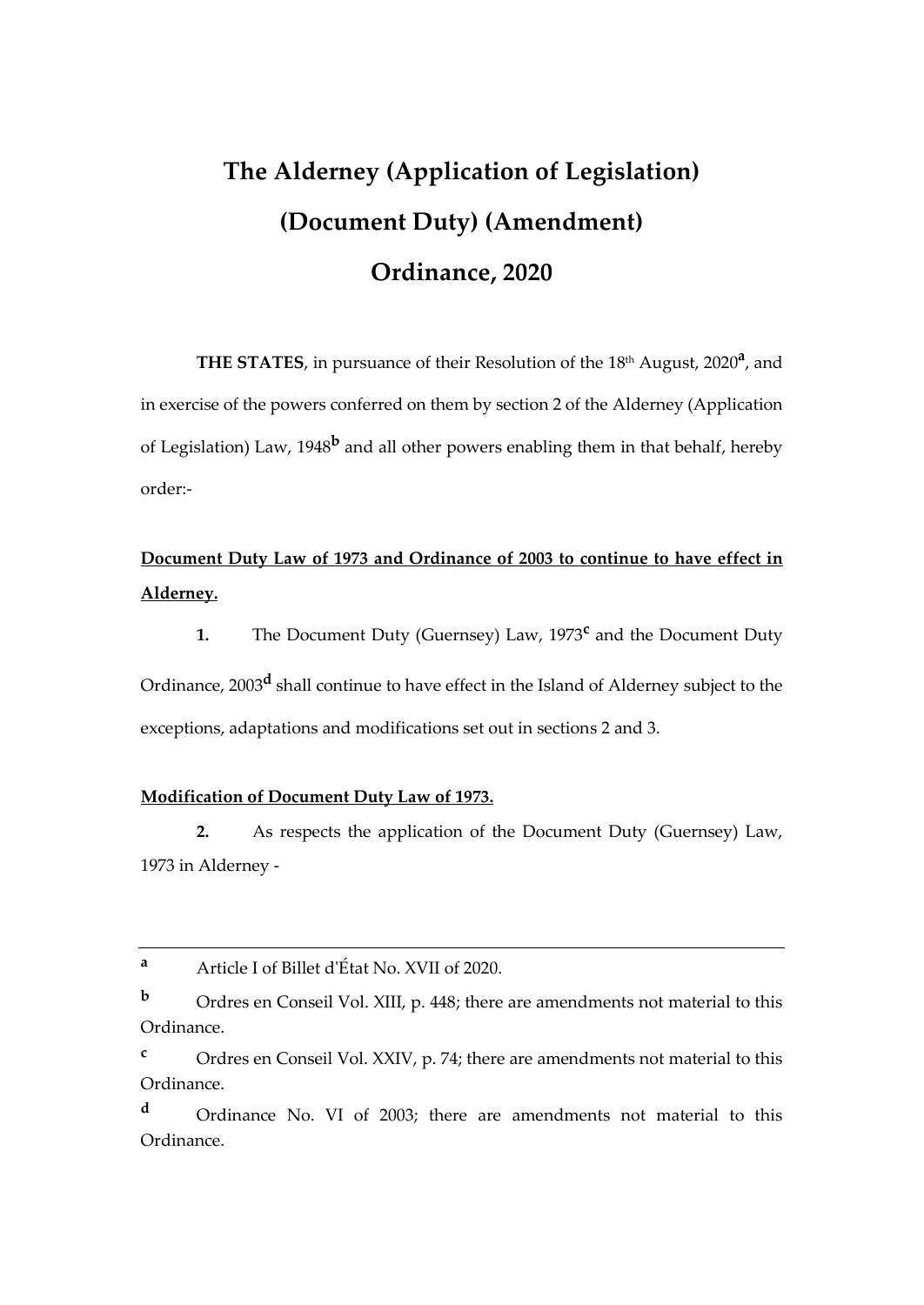# **The Alderney (Application of Legislation) (Document Duty) (Amendment) Ordinance, 2020**

THE STATES, in pursuance of their Resolution of the 18<sup>th</sup> August, 2020<sup>a</sup>, and in exercise of the powers conferred on them by section 2 of the Alderney (Application of Legislation) Law, 1948**<sup>b</sup>** and all other powers enabling them in that behalf, hereby order:-

# **Document Duty Law of 1973 and Ordinance of 2003 to continue to have effect in Alderney.**

**1.** The Document Duty (Guernsey) Law, 1973**<sup>c</sup>** and the Document Duty

Ordinance, 2003**<sup>d</sup>** shall continue to have effect in the Island of Alderney subject to the exceptions, adaptations and modifications set out in sections 2 and 3.

## **Modification of Document Duty Law of 1973.**

**2.** As respects the application of the Document Duty (Guernsey) Law, 1973 in Alderney -

**<sup>a</sup>** Article I of Billet d'État No. XVII of 2020.

**b** Ordres en Conseil Vol. XIII, p. 448; there are amendments not material to this Ordinance.

**<sup>c</sup>** Ordres en Conseil Vol. XXIV, p. 74; there are amendments not material to this Ordinance.

**<sup>d</sup>** Ordinance No. VI of 2003; there are amendments not material to this Ordinance.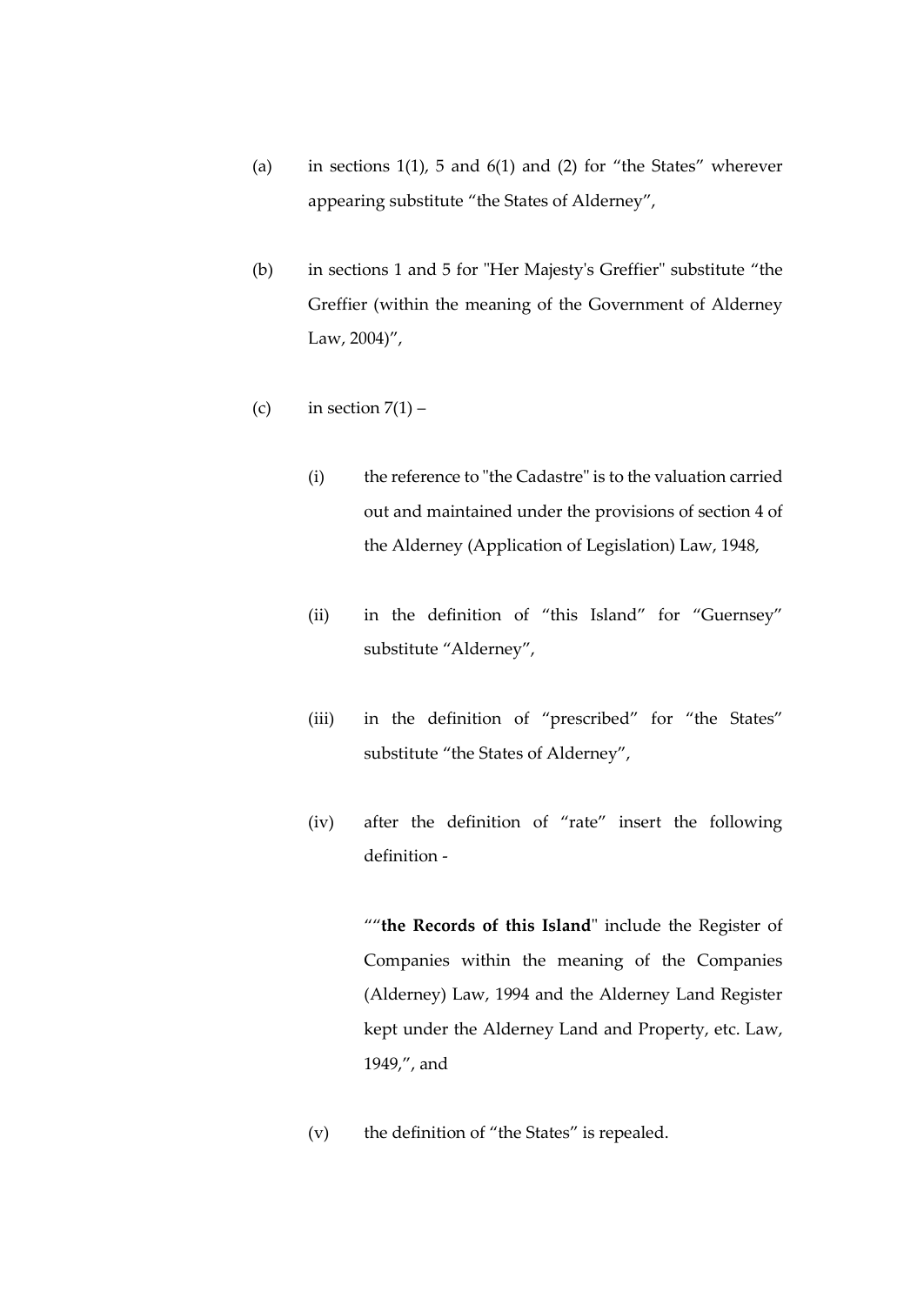- (a) in sections 1(1), 5 and 6(1) and (2) for "the States" wherever appearing substitute "the States of Alderney",
- (b) in sections 1 and 5 for "Her Majesty's Greffier" substitute "the Greffier (within the meaning of the Government of Alderney Law, 2004)",
- (c) in section  $7(1)$ 
	- (i) the reference to "the Cadastre" is to the valuation carried out and maintained under the provisions of section 4 of the Alderney (Application of Legislation) Law, 1948,
	- (ii) in the definition of "this Island" for "Guernsey" substitute "Alderney",
	- (iii) in the definition of "prescribed" for "the States" substitute "the States of Alderney",
	- (iv) after the definition of "rate" insert the following definition -

""**the Records of this Island**" include the Register of Companies within the meaning of the Companies (Alderney) Law, 1994 and the Alderney Land Register kept under the Alderney Land and Property, etc. Law, 1949,", and

(v) the definition of "the States" is repealed.